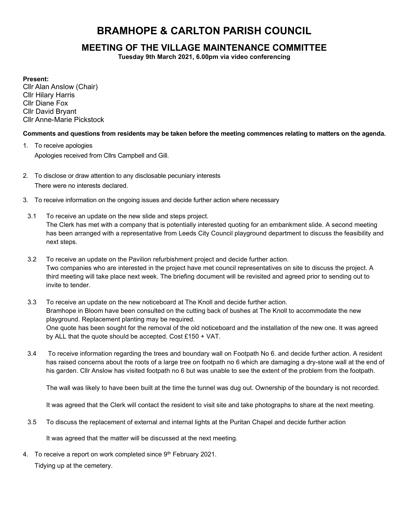# BRAMHOPE & CARLTON PARISH COUNCIL

# MEETING OF THE VILLAGE MAINTENANCE COMMITTEE

Tuesday 9th March 2021, 6.00pm via video conferencing

# Present:

Cllr Alan Anslow (Chair) Cllr Hilary Harris Cllr Diane Fox Cllr David Bryant Cllr Anne-Marie Pickstock

# Comments and questions from residents may be taken before the meeting commences relating to matters on the agenda.

- 1. To receive apologies Apologies received from Cllrs Campbell and Gill.
- 2. To disclose or draw attention to any disclosable pecuniary interests There were no interests declared.
- 3. To receive information on the ongoing issues and decide further action where necessary
- 3.1 To receive an update on the new slide and steps project. The Clerk has met with a company that is potentially interested quoting for an embankment slide. A second meeting has been arranged with a representative from Leeds City Council playground department to discuss the feasibility and next steps.
- 3.2 To receive an update on the Pavilion refurbishment project and decide further action. Two companies who are interested in the project have met council representatives on site to discuss the project. A third meeting will take place next week. The briefing document will be revisited and agreed prior to sending out to invite to tender.
- 3.3 To receive an update on the new noticeboard at The Knoll and decide further action. Bramhope in Bloom have been consulted on the cutting back of bushes at The Knoll to accommodate the new playground. Replacement planting may be required. One quote has been sought for the removal of the old noticeboard and the installation of the new one. It was agreed by ALL that the quote should be accepted. Cost £150 + VAT.
- 3.4 To receive information regarding the trees and boundary wall on Footpath No 6. and decide further action. A resident has raised concerns about the roots of a large tree on footpath no 6 which are damaging a dry-stone wall at the end of his garden. Cllr Anslow has visited footpath no 6 but was unable to see the extent of the problem from the footpath.

The wall was likely to have been built at the time the tunnel was dug out. Ownership of the boundary is not recorded.

It was agreed that the Clerk will contact the resident to visit site and take photographs to share at the next meeting.

3.5 To discuss the replacement of external and internal lights at the Puritan Chapel and decide further action

It was agreed that the matter will be discussed at the next meeting.

4. To receive a report on work completed since 9<sup>th</sup> February 2021.

Tidying up at the cemetery.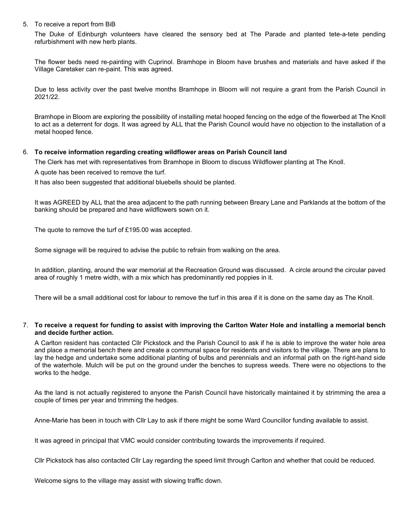#### 5. To receive a report from BiB

The Duke of Edinburgh volunteers have cleared the sensory bed at The Parade and planted tete-a-tete pending refurbishment with new herb plants.

The flower beds need re-painting with Cuprinol. Bramhope in Bloom have brushes and materials and have asked if the Village Caretaker can re-paint. This was agreed.

Due to less activity over the past twelve months Bramhope in Bloom will not require a grant from the Parish Council in 2021/22.

Bramhope in Bloom are exploring the possibility of installing metal hooped fencing on the edge of the flowerbed at The Knoll to act as a deterrent for dogs. It was agreed by ALL that the Parish Council would have no objection to the installation of a metal hooped fence.

#### 6. To receive information regarding creating wildflower areas on Parish Council land

The Clerk has met with representatives from Bramhope in Bloom to discuss Wildflower planting at The Knoll.

A quote has been received to remove the turf.

It has also been suggested that additional bluebells should be planted.

It was AGREED by ALL that the area adjacent to the path running between Breary Lane and Parklands at the bottom of the banking should be prepared and have wildflowers sown on it.

The quote to remove the turf of £195.00 was accepted.

Some signage will be required to advise the public to refrain from walking on the area.

In addition, planting, around the war memorial at the Recreation Ground was discussed. A circle around the circular paved area of roughly 1 metre width, with a mix which has predominantly red poppies in it.

There will be a small additional cost for labour to remove the turf in this area if it is done on the same day as The Knoll.

#### 7. To receive a request for funding to assist with improving the Carlton Water Hole and installing a memorial bench and decide further action.

A Carlton resident has contacted Cllr Pickstock and the Parish Council to ask if he is able to improve the water hole area and place a memorial bench there and create a communal space for residents and visitors to the village. There are plans to lay the hedge and undertake some additional planting of bulbs and perennials and an informal path on the right-hand side of the waterhole. Mulch will be put on the ground under the benches to supress weeds. There were no objections to the works to the hedge.

As the land is not actually registered to anyone the Parish Council have historically maintained it by strimming the area a couple of times per year and trimming the hedges.

Anne-Marie has been in touch with Cllr Lay to ask if there might be some Ward Councillor funding available to assist.

It was agreed in principal that VMC would consider contributing towards the improvements if required.

Cllr Pickstock has also contacted Cllr Lay regarding the speed limit through Carlton and whether that could be reduced.

Welcome signs to the village may assist with slowing traffic down.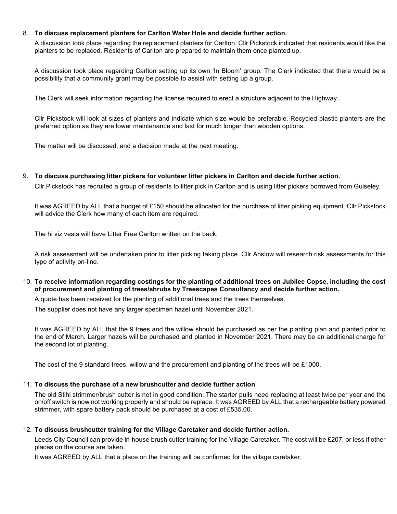#### 8. To discuss replacement planters for Carlton Water Hole and decide further action.

A discussion took place regarding the replacement planters for Carlton. Cllr Pickstock indicated that residents would like the planters to be replaced. Residents of Carlton are prepared to maintain them once planted up.

A discussion took place regarding Carlton setting up its own 'In Bloom' group. The Clerk indicated that there would be a possibility that a community grant may be possible to assist with setting up a group.

The Clerk will seek information regarding the license required to erect a structure adjacent to the Highway.

Cllr Pickstock will look at sizes of planters and indicate which size would be preferable. Recycled plastic planters are the preferred option as they are lower maintenance and last for much longer than wooden options.

The matter will be discussed, and a decision made at the next meeting.

9. To discuss purchasing litter pickers for volunteer litter pickers in Carlton and decide further action. Cllr Pickstock has recruited a group of residents to litter pick in Carlton and is using litter pickers borrowed from Guiseley.

It was AGREED by ALL that a budget of £150 should be allocated for the purchase of litter picking equipment. Cllr Pickstock will advice the Clerk how many of each item are required.

The hi viz vests will have Litter Free Carlton written on the back.

A risk assessment will be undertaken prior to litter picking taking place. Cllr Anslow will research risk assessments for this type of activity on-line.

10. To receive information regarding costings for the planting of additional trees on Jubilee Copse, including the cost of procurement and planting of trees/shrubs by Treescapes Consultancy and decide further action.

A quote has been received for the planting of additional trees and the trees themselves.

The supplier does not have any larger specimen hazel until November 2021.

It was AGREED by ALL that the 9 trees and the willow should be purchased as per the planting plan and planted prior to the end of March. Larger hazels will be purchased and planted in November 2021. There may be an additional charge for the second lot of planting.

The cost of the 9 standard trees, willow and the procurement and planting of the trees will be £1000.

# 11. To discuss the purchase of a new brushcutter and decide further action

The old Stihl strimmer/brush cutter is not in good condition. The starter pulls need replacing at least twice per year and the on/off switch is now not working properly and should be replace. It was AGREED by ALL that a rechargeable battery powered strimmer, with spare battery pack should be purchased at a cost of £535.00.

#### 12. To discuss brushcutter training for the Village Caretaker and decide further action.

Leeds City Council can provide in-house brush cutter training for the Village Caretaker. The cost will be £207, or less if other places on the course are taken.

It was AGREED by ALL that a place on the training will be confirmed for the village caretaker.